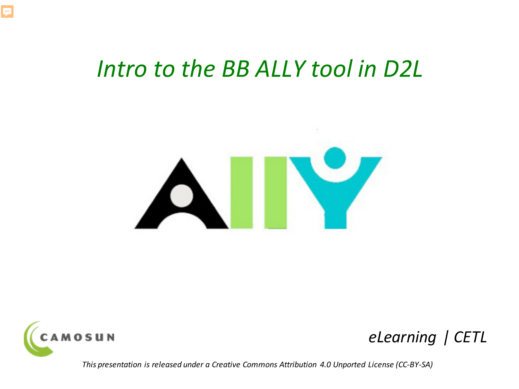## *Intro to the BB ALLY tool in D2L*





F

### *eLearning | CETL*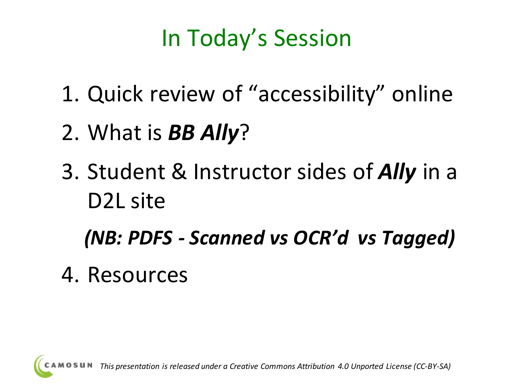# In Today's Session

- 1. Quick review of "accessibility" online
- 2. What is *BB Ally*?
- 3. Student & Instructor sides of *Ally* in a D2L site

*(NB: PDFS - Scanned vs OCR'd vs Tagged)*

4. Resources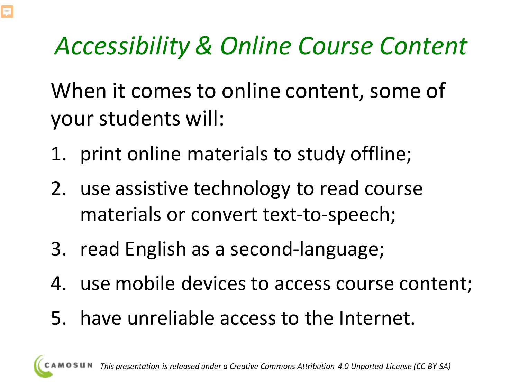# *Accessibility & Online Course Content*

When it comes to online content, some of your students will:

- 1. print online materials to study offline;
- 2. use assistive technology to read course materials or convert text-to-speech;
- 3. read English as a second-language;
- 4. use mobile devices to access course content;
- 5. have unreliable access to the Internet.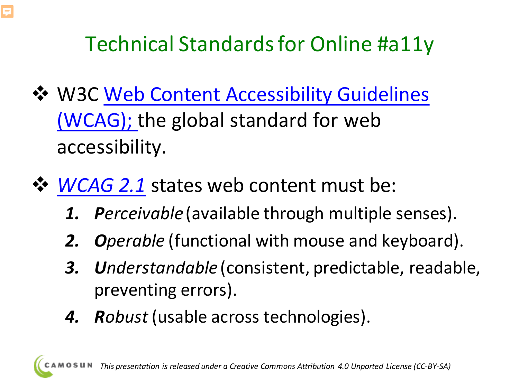

- [W3C Web Content Accessibility Guidelines](https://www.w3.org/TR/WCAG21/)  (WCAG); the global standard for web accessibility.
- **☆ [WCAG 2.1](https://www.w3.org/TR/WCAG21/) states web content must be:** 
	- *1. Perceivable* (available through multiple senses).
	- *2. Operable* (functional with mouse and keyboard).
	- *3. Understandable* (consistent, predictable, readable, preventing errors).
	- *4. Robust* (usable across technologies).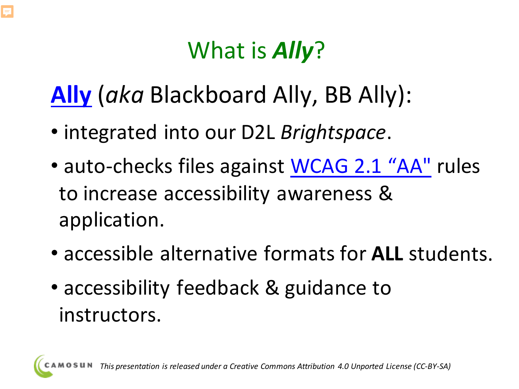# What is *Ally*?

# **[Ally](https://www.blackboard.com/resources/blackboard-ally-lms-datasheet)** (*aka* Blackboard Ally, BB Ally):

- integrated into our D2L *Brightspace*.
- auto-checks files against [WCAG 2.1 "AA"](https://www.w3.org/WAI/WCAG21/quickref/) rules to increase accessibility awareness & application.
- accessible alternative formats for **ALL** students.
- accessibility feedback & guidance to instructors.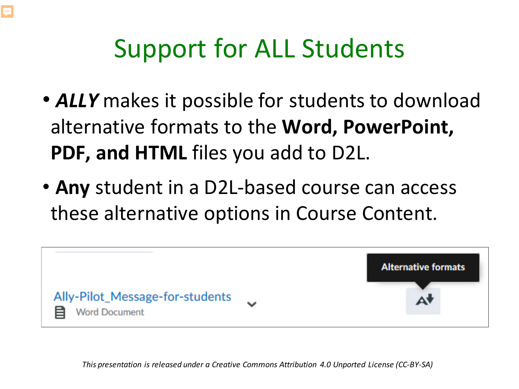# Support for ALL Students

- *ALLY* makes it possible for students to download alternative formats to the **Word, PowerPoint, PDF, and HTML** files you add to D2L.
- **Any** student in a D2L-based course can access these alternative options in Course Content.

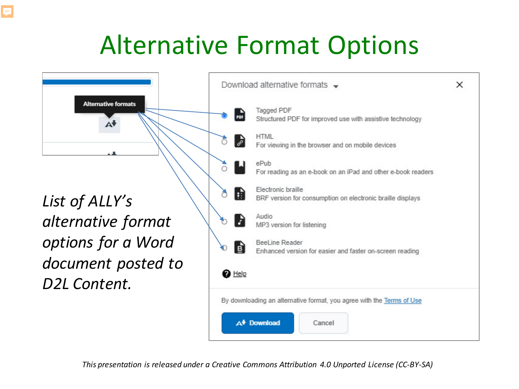# Alternative Format Options



*List of ALLY's alternative format options for a Word document posted to D2L Content.*

| Structured PDF for improved use with assistive technology                               |                                                                                                                                                                                                     |  |  |  |  |  |
|-----------------------------------------------------------------------------------------|-----------------------------------------------------------------------------------------------------------------------------------------------------------------------------------------------------|--|--|--|--|--|
|                                                                                         |                                                                                                                                                                                                     |  |  |  |  |  |
|                                                                                         |                                                                                                                                                                                                     |  |  |  |  |  |
|                                                                                         |                                                                                                                                                                                                     |  |  |  |  |  |
| <b>Electronic braille</b><br>BRF version for consumption on electronic braille displays |                                                                                                                                                                                                     |  |  |  |  |  |
| Audio<br>MP3 version for listening                                                      |                                                                                                                                                                                                     |  |  |  |  |  |
| <b>BeeLine Reader</b><br>Enhanced version for easier and faster on-screen reading       |                                                                                                                                                                                                     |  |  |  |  |  |
|                                                                                         |                                                                                                                                                                                                     |  |  |  |  |  |
|                                                                                         |                                                                                                                                                                                                     |  |  |  |  |  |
|                                                                                         |                                                                                                                                                                                                     |  |  |  |  |  |
|                                                                                         | For viewing in the browser and on mobile devices<br>For reading as an e-book on an iPad and other e-book readers<br>By downloading an alternative format, you agree with the Terms of Use<br>Cancel |  |  |  |  |  |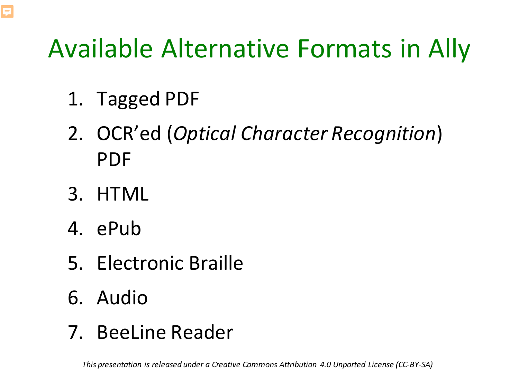# Available Alternative Formats in Ally

- 1. Tagged PDF
- 2. OCR'ed (*Optical Character Recognition*) PDF
- 3. HTML

F

- 4. ePub
- 5. Electronic Braille
- 6. Audio
- 7. BeeLine Reader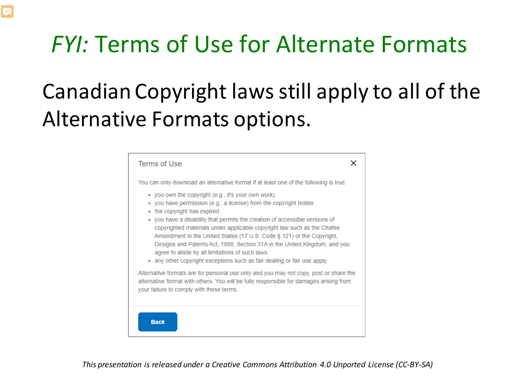# *FYI:* Terms of Use for Alternate Formats

 $\equiv$ 

# Canadian Copyright laws still apply to all of the Alternative Formats options.

| Terms of Use                                                                                                                                                                                                                                                                                                                                                                                                                                                                                                                                                                                             |
|----------------------------------------------------------------------------------------------------------------------------------------------------------------------------------------------------------------------------------------------------------------------------------------------------------------------------------------------------------------------------------------------------------------------------------------------------------------------------------------------------------------------------------------------------------------------------------------------------------|
| You can only download an alternative format if at least one of the following is true:                                                                                                                                                                                                                                                                                                                                                                                                                                                                                                                    |
| • you own the copyright (e.g., it's your own work)<br>• you have permission (e.g., a license) from the copyright holder<br>the copyright has expired<br>٠<br>• you have a disability that permits the creation of accessible versions of<br>copyrighted materials under applicable copyright law such as the Chafee<br>Amendment in the United States (17 U.S. Code § 121) or the Copyright,<br>Designs and Patents Act, 1988, Section 31A in the United Kingdom, and you<br>agree to abide by all limitations of such laws.<br>• any other copyright exceptions such as fair dealing or fair use apply. |
| Alternative formats are for personal use only and you may not copy, post or share the<br>alternative format with others. You will be fully responsible for damages arising from<br>your failure to comply with these terms.                                                                                                                                                                                                                                                                                                                                                                              |
| <b>Back</b>                                                                                                                                                                                                                                                                                                                                                                                                                                                                                                                                                                                              |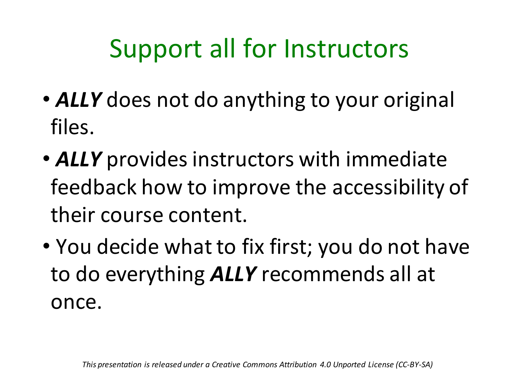# Support all for Instructors

- *ALLY* does not do anything to your original files.
- *ALLY* provides instructors with immediate feedback how to improve the accessibility of their course content.
- You decide what to fix first; you do not have to do everything *ALLY* recommends all at once.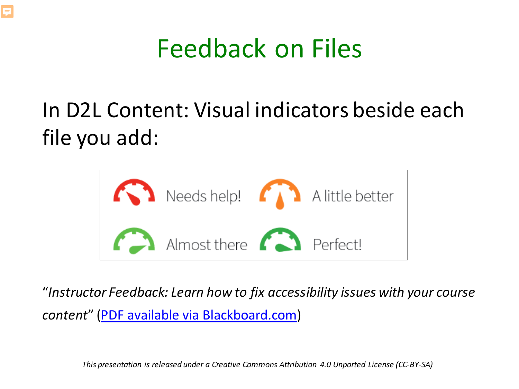

## In D2L Content: Visual indicators beside each file you add:



"*Instructor Feedback: Learn how to fix accessibility issues with your course content*" [\(PDF available via Blackboard.com](https://help.blackboard.com/sites/default/files/documents/2018-05/Ally-QuickStart-2018_03-InstructorFeedback.pdf))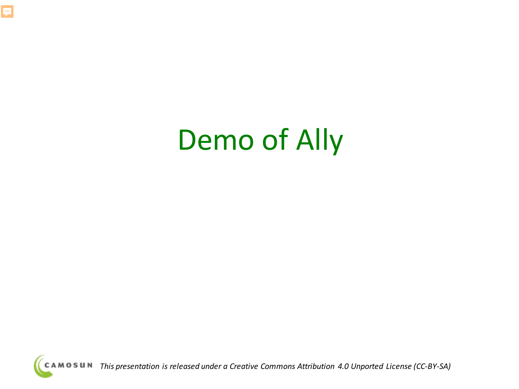

# Demo of Ally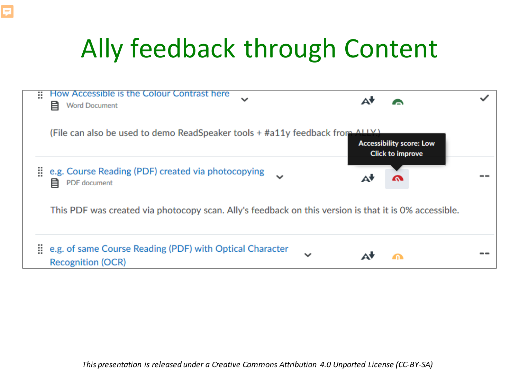# Ally feedback through Content

E

| × | How Accessible is the Colour Contrast here<br>$\checkmark$<br>目<br><b>Word Document</b>               |             | Δ۱ |                                                            |  |
|---|-------------------------------------------------------------------------------------------------------|-------------|----|------------------------------------------------------------|--|
|   | (File can also be used to demo ReadSpeaker tools + #a11y feedback from ALLY)                          |             |    | <b>Accessibility score: Low</b><br><b>Click to improve</b> |  |
| ₩ | e.g. Course Reading (PDF) created via photocopying<br>目<br>PDF document                               |             | A  |                                                            |  |
|   | This PDF was created via photocopy scan. Ally's feedback on this version is that it is 0% accessible. |             |    |                                                            |  |
| H | e.g. of same Course Reading (PDF) with Optical Character<br><b>Recognition (OCR)</b>                  | $\check{ }$ |    |                                                            |  |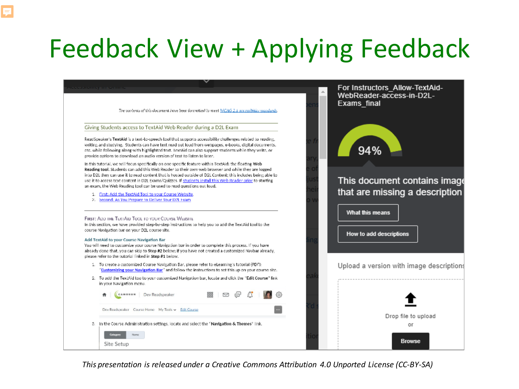# Feedback View + Applying Feedback

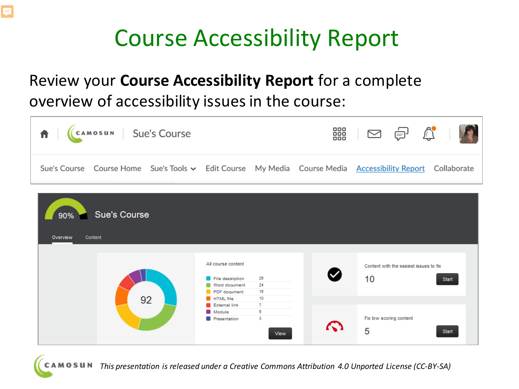# Course Accessibility Report

### Review your **Course Accessibility Report** for a complete overview of accessibility issues in the course:

巨



| <b>Sue's Course</b><br>$90\%$<br>Overview<br>Content |                                                                         |                                      |               |                                                       |  |  |  |  |  |
|------------------------------------------------------|-------------------------------------------------------------------------|--------------------------------------|---------------|-------------------------------------------------------|--|--|--|--|--|
|                                                      | All course content<br>File description<br>Word document<br>PDF document | 26<br>24<br>16                       | V             | Content with the easiest issues to fix<br>10<br>Start |  |  |  |  |  |
| 92                                                   | <b>HTML</b> file<br><b>External link</b><br>Module<br>Presentation      | 10<br>$\mathbf{7}$<br>6<br>3<br>View | $\mathcal{L}$ | Fix low scoring content<br>5<br>Start                 |  |  |  |  |  |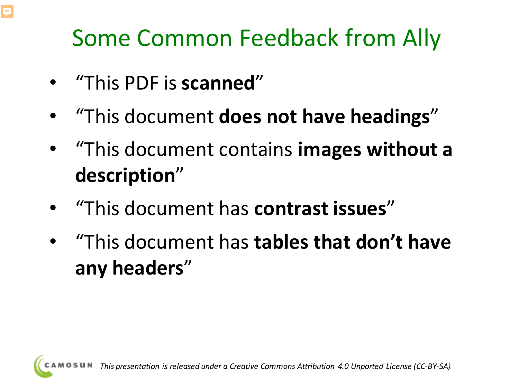# Some Common Feedback from Ally

• "This PDF is **scanned**"

E

- "This document **does not have headings**"
- "This document contains **images without a description**"
- "This document has **contrast issues**"
- "This document has **tables that don't have any headers**"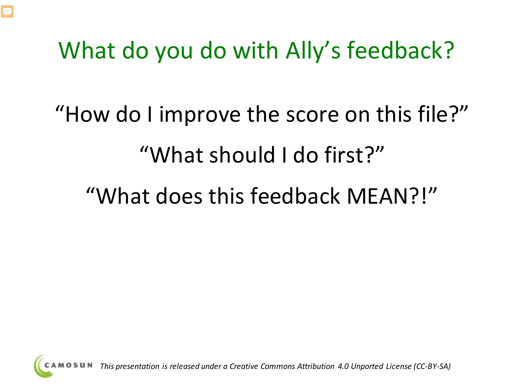

# What do you do with Ally's feedback?

# "How do I improve the score on this file?" "What should I do first?"

# "What does this feedback MEAN?!"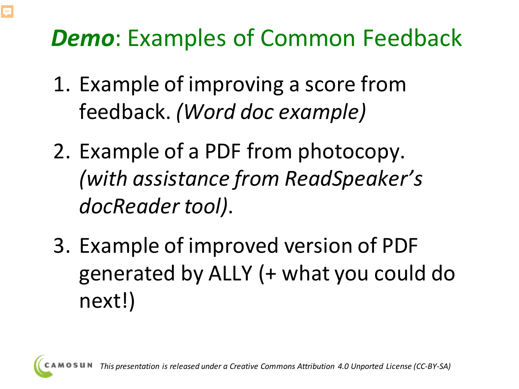# *Demo*: Examples of Common Feedback

- 1. Example of improving a score from feedback. *(Word doc example)*
- 2. Example of a PDF from photocopy. *(with assistance from ReadSpeaker's docReader tool)*.
- 3. Example of improved version of PDF generated by ALLY (+ what you could do next!)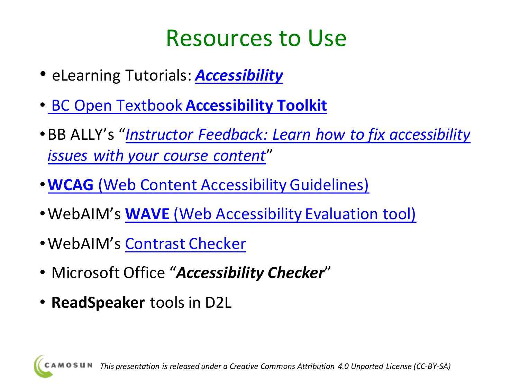# Resources to Use

- eLearning Tutorials: *[Accessibility](https://elearningtutorialscamosun.opened.ca/accessibility/)*
- BC Open Textbook **[Accessibility Toolkit](https://opentextbc.ca/accessibilitytoolkit/)**
- •BB ALLY's "*Instructor Feedback: Learn how to fix accessibility issues with your course content*"
- •**WCAG** [\(Web Content Accessibility Guidelines\)](https://www.w3.org/TR/WCAG20/#guidelines)
- •WebAIM's **WAVE** [\(Web Accessibility Evaluation tool\)](https://wave.webaim.org/)
- •WebAIM's [Contrast Checker](https://webaim.org/resources/contrastchecker/)
- Microsoft Office "*Accessibility Checker*"
- **ReadSpeaker** tools in D2L